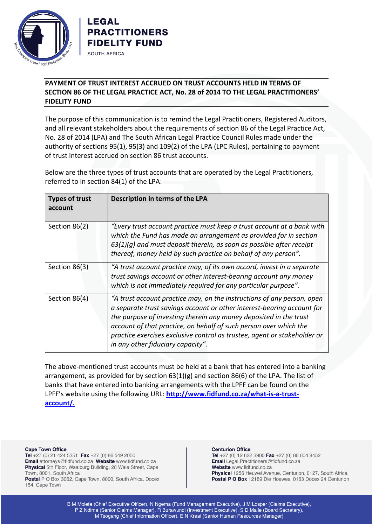



## **PAYMENT OF TRUST INTEREST ACCRUED ON TRUST ACCOUNTS HELD IN TERMS OF SECTION 86 OF THE LEGAL PRACTICE ACT, No. 28 of 2014 TO THE LEGAL PRACTITIONERS' FIDELITY FUND**

The purpose of this communication is to remind the Legal Practitioners, Registered Auditors, and all relevant stakeholders about the requirements of section 86 of the Legal Practice Act, No. 28 of 2014 (LPA) and The South African Legal Practice Council Rules made under the authority of sections 95(1), 95(3) and 109(2) of the LPA (LPC Rules), pertaining to payment of trust interest accrued on section 86 trust accounts.

Below are the three types of trust accounts that are operated by the Legal Practitioners, referred to in section 84(1) of the LPA:

| <b>Types of trust</b><br>account | Description in terms of the LPA                                                                                                                                                                                                                                                                                                                                                                             |
|----------------------------------|-------------------------------------------------------------------------------------------------------------------------------------------------------------------------------------------------------------------------------------------------------------------------------------------------------------------------------------------------------------------------------------------------------------|
| Section 86(2)                    | "Every trust account practice must keep a trust account at a bank with<br>which the Fund has made an arrangement as provided for in section<br>$63(1)(g)$ and must deposit therein, as soon as possible after receipt<br>thereof, money held by such practice on behalf of any person".                                                                                                                     |
| Section 86(3)                    | "A trust account practice may, of its own accord, invest in a separate<br>trust savings account or other interest-bearing account any money<br>which is not immediately required for any particular purpose".                                                                                                                                                                                               |
| Section 86(4)                    | "A trust account practice may, on the instructions of any person, open<br>a separate trust savings account or other interest-bearing account for<br>the purpose of investing therein any money deposited in the trust<br>account of that practice, on behalf of such person over which the<br>practice exercises exclusive control as trustee, agent or stakeholder or<br>in any other fiduciary capacity". |

The above-mentioned trust accounts must be held at a bank that has entered into a banking arrangement, as provided for by section  $63(1)(g)$  and section 86(6) of the LPA. The list of banks that have entered into banking arrangements with the LPFF can be found on the LPFF's website using the following URL: **[http://www.fidfund.co.za/what-is-a-trust](http://www.fidfund.co.za/what-is-a-trust-account/)[account/.](http://www.fidfund.co.za/what-is-a-trust-account/)**

**Cape Town Office** 

Tel +27 (0) 21 424 5351 Fax +27 (0) 86 549 2050 Email attorneys@fidfund.co.za Website www.fidfund.co.za Physical 5th Floor, Waalburg Building, 28 Wale Street, Cape Town, 8001, South Africa Postal P O Box 3062, Cape Town, 8000, South Africa, Docex

154, Cape Town

## **Centurion Office**

Tel +27 (0) 12 622 3900 Fax +27 (0) 86 604 8452 Email Legal.Practitioners@fidfund.co.za Website www.fidfund.co.za Physical 1256 Heuwel Avenue, Centurion, 0127, South Africa. Postal P O Box 12189 Die Hoewes, 0163 Docex 24 Centurion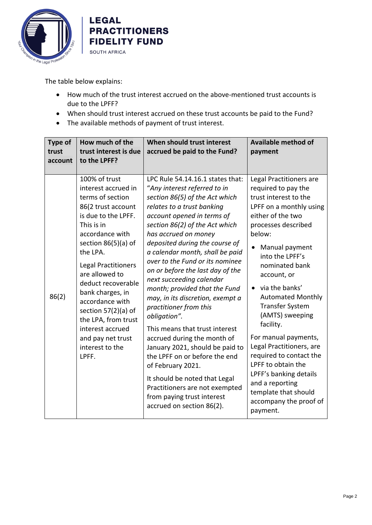



The table below explains:

- How much of the trust interest accrued on the above-mentioned trust accounts is due to the LPFF?
- When should trust interest accrued on these trust accounts be paid to the Fund?
- The available methods of payment of trust interest.

| <b>Type of</b><br>trust<br>account | How much of the<br>trust interest is due<br>to the LPFF?                                                                                                                                                                                                                                                                                                                                                    | When should trust interest<br>accrued be paid to the Fund?                                                                                                                                                                                                                                                                                                                                                                                                                                                                                                                                                                                                                                                                                                                                              | <b>Available method of</b><br>payment                                                                                                                                                                                                                                                                                                                                                                                                                                                                                                                  |
|------------------------------------|-------------------------------------------------------------------------------------------------------------------------------------------------------------------------------------------------------------------------------------------------------------------------------------------------------------------------------------------------------------------------------------------------------------|---------------------------------------------------------------------------------------------------------------------------------------------------------------------------------------------------------------------------------------------------------------------------------------------------------------------------------------------------------------------------------------------------------------------------------------------------------------------------------------------------------------------------------------------------------------------------------------------------------------------------------------------------------------------------------------------------------------------------------------------------------------------------------------------------------|--------------------------------------------------------------------------------------------------------------------------------------------------------------------------------------------------------------------------------------------------------------------------------------------------------------------------------------------------------------------------------------------------------------------------------------------------------------------------------------------------------------------------------------------------------|
| 86(2)                              | 100% of trust<br>interest accrued in<br>terms of section<br>86(2 trust account<br>is due to the LPFF.<br>This is in<br>accordance with<br>section 86(5)(a) of<br>the LPA.<br><b>Legal Practitioners</b><br>are allowed to<br>deduct recoverable<br>bank charges, in<br>accordance with<br>section $57(2)(a)$ of<br>the LPA, from trust<br>interest accrued<br>and pay net trust<br>interest to the<br>LPFF. | LPC Rule 54.14.16.1 states that:<br>"Any interest referred to in<br>section 86(5) of the Act which<br>relates to a trust banking<br>account opened in terms of<br>section 86(2) of the Act which<br>has accrued on money<br>deposited during the course of<br>a calendar month, shall be paid<br>over to the Fund or its nominee<br>on or before the last day of the<br>next succeeding calendar<br>month; provided that the Fund<br>may, in its discretion, exempt a<br>practitioner from this<br>obligation".<br>This means that trust interest<br>accrued during the month of<br>January 2021, should be paid to<br>the LPFF on or before the end<br>of February 2021.<br>It should be noted that Legal<br>Practitioners are not exempted<br>from paying trust interest<br>accrued on section 86(2). | Legal Practitioners are<br>required to pay the<br>trust interest to the<br>LPFF on a monthly using<br>either of the two<br>processes described<br>below:<br>Manual payment<br>into the LPFF's<br>nominated bank<br>account, or<br>via the banks'<br><b>Automated Monthly</b><br><b>Transfer System</b><br>(AMTS) sweeping<br>facility.<br>For manual payments,<br>Legal Practitioners, are<br>required to contact the<br>LPFF to obtain the<br>LPFF's banking details<br>and a reporting<br>template that should<br>accompany the proof of<br>payment. |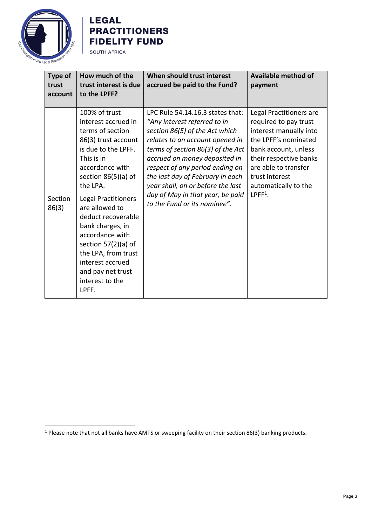

## **LEGAL PRACTITIONERS FIDELITY FUND SOUTH AFRICA**

| <b>Type of</b><br>trust<br>account | How much of the<br>trust interest is due<br>to the LPFF?                                                                                                                                                                                                                                                                                                                                                       | When should trust interest<br>accrued be paid to the Fund?                                                                                                                                                                                                                                                                                                                                  | <b>Available method of</b><br>payment                                                                                                                                                                                               |
|------------------------------------|----------------------------------------------------------------------------------------------------------------------------------------------------------------------------------------------------------------------------------------------------------------------------------------------------------------------------------------------------------------------------------------------------------------|---------------------------------------------------------------------------------------------------------------------------------------------------------------------------------------------------------------------------------------------------------------------------------------------------------------------------------------------------------------------------------------------|-------------------------------------------------------------------------------------------------------------------------------------------------------------------------------------------------------------------------------------|
| Section<br>86(3)                   | 100% of trust<br>interest accrued in<br>terms of section<br>86(3) trust account<br>is due to the LPFF.<br>This is in<br>accordance with<br>section $86(5)(a)$ of<br>the LPA.<br><b>Legal Practitioners</b><br>are allowed to<br>deduct recoverable<br>bank charges, in<br>accordance with<br>section $57(2)(a)$ of<br>the LPA, from trust<br>interest accrued<br>and pay net trust<br>interest to the<br>LPFF. | LPC Rule 54.14.16.3 states that:<br>"Any interest referred to in<br>section 86(5) of the Act which<br>relates to an account opened in<br>terms of section 86(3) of the Act<br>accrued on money deposited in<br>respect of any period ending on<br>the last day of February in each<br>year shall, on or before the last<br>day of May in that year, be paid<br>to the Fund or its nominee". | Legal Practitioners are<br>required to pay trust<br>interest manually into<br>the LPFF's nominated<br>bank account, unless<br>their respective banks<br>are able to transfer<br>trust interest<br>automatically to the<br>$LPFF1$ . |

<sup>&</sup>lt;sup>1</sup> Please note that not all banks have AMTS or sweeping facility on their section 86(3) banking products.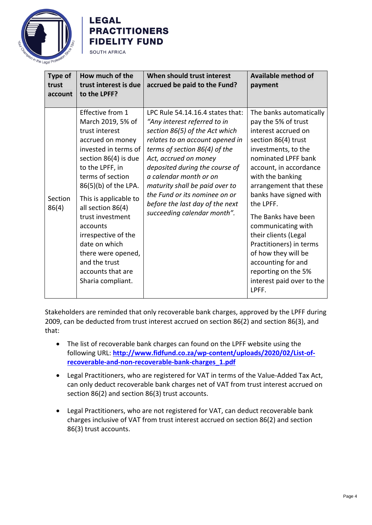

## **LEGAL PRACTITIONERS FIDELITY FUND SOUTH AFRICA**

| <b>Type of</b><br>trust<br>account | How much of the<br>trust interest is due<br>to the LPFF?                                                                                                                                                                                                                                                                                                                                          | When should trust interest<br>accrued be paid to the Fund?                                                                                                                                                                                                                                                                                                                                       | <b>Available method of</b><br>payment                                                                                                                                                                                                                                                                                                                                                                                                                               |
|------------------------------------|---------------------------------------------------------------------------------------------------------------------------------------------------------------------------------------------------------------------------------------------------------------------------------------------------------------------------------------------------------------------------------------------------|--------------------------------------------------------------------------------------------------------------------------------------------------------------------------------------------------------------------------------------------------------------------------------------------------------------------------------------------------------------------------------------------------|---------------------------------------------------------------------------------------------------------------------------------------------------------------------------------------------------------------------------------------------------------------------------------------------------------------------------------------------------------------------------------------------------------------------------------------------------------------------|
| Section<br>86(4)                   | Effective from 1<br>March 2019, 5% of<br>trust interest<br>accrued on money<br>invested in terms of<br>section 86(4) is due<br>to the LPFF, in<br>terms of section<br>86(5)(b) of the LPA.<br>This is applicable to<br>all section 86(4)<br>trust investment<br>accounts<br>irrespective of the<br>date on which<br>there were opened,<br>and the trust<br>accounts that are<br>Sharia compliant. | LPC Rule 54.14.16.4 states that:<br>"Any interest referred to in<br>section 86(5) of the Act which<br>relates to an account opened in<br>terms of section 86(4) of the<br>Act, accrued on money<br>deposited during the course of<br>a calendar month or on<br>maturity shall be paid over to<br>the Fund or its nominee on or<br>before the last day of the next<br>succeeding calendar month". | The banks automatically<br>pay the 5% of trust<br>interest accrued on<br>section 86(4) trust<br>investments, to the<br>nominated LPFF bank<br>account, in accordance<br>with the banking<br>arrangement that these<br>banks have signed with<br>the LPFF.<br>The Banks have been<br>communicating with<br>their clients (Legal<br>Practitioners) in terms<br>of how they will be<br>accounting for and<br>reporting on the 5%<br>interest paid over to the<br>LPFF. |

Stakeholders are reminded that only recoverable bank charges, approved by the LPFF during 2009, can be deducted from trust interest accrued on section 86(2) and section 86(3), and that:

- The list of recoverable bank charges can found on the LPFF website using the following URL: **[http://www.fidfund.co.za/wp-content/uploads/2020/02/List-of](http://www.fidfund.co.za/wp-content/uploads/2020/02/List-of-recoverable-and-non-recoverable-bank-charges_1.pdf)[recoverable-and-non-recoverable-bank-charges\\_1.pdf](http://www.fidfund.co.za/wp-content/uploads/2020/02/List-of-recoverable-and-non-recoverable-bank-charges_1.pdf)**
- Legal Practitioners, who are registered for VAT in terms of the Value-Added Tax Act, can only deduct recoverable bank charges net of VAT from trust interest accrued on section 86(2) and section 86(3) trust accounts.
- Legal Practitioners, who are not registered for VAT, can deduct recoverable bank charges inclusive of VAT from trust interest accrued on section 86(2) and section 86(3) trust accounts.